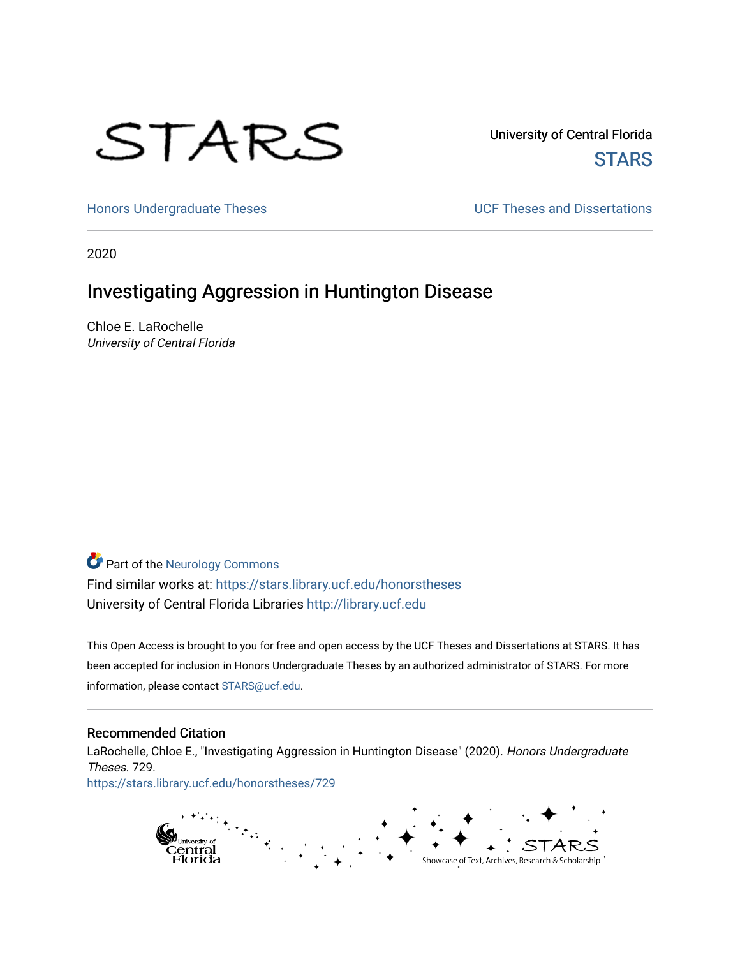# STARS

University of Central Florida **STARS** 

[Honors Undergraduate Theses](https://stars.library.ucf.edu/honorstheses) **Exercise 2018** UCF Theses and Dissertations

2020

# Investigating Aggression in Huntington Disease

Chloe E. LaRochelle University of Central Florida

# **Part of the [Neurology Commons](http://network.bepress.com/hgg/discipline/692?utm_source=stars.library.ucf.edu%2Fhonorstheses%2F729&utm_medium=PDF&utm_campaign=PDFCoverPages)**

Find similar works at: <https://stars.library.ucf.edu/honorstheses> University of Central Florida Libraries [http://library.ucf.edu](http://library.ucf.edu/) 

This Open Access is brought to you for free and open access by the UCF Theses and Dissertations at STARS. It has been accepted for inclusion in Honors Undergraduate Theses by an authorized administrator of STARS. For more information, please contact [STARS@ucf.edu.](mailto:STARS@ucf.edu)

#### Recommended Citation

LaRochelle, Chloe E., "Investigating Aggression in Huntington Disease" (2020). Honors Undergraduate Theses. 729.

[https://stars.library.ucf.edu/honorstheses/729](https://stars.library.ucf.edu/honorstheses/729?utm_source=stars.library.ucf.edu%2Fhonorstheses%2F729&utm_medium=PDF&utm_campaign=PDFCoverPages) 

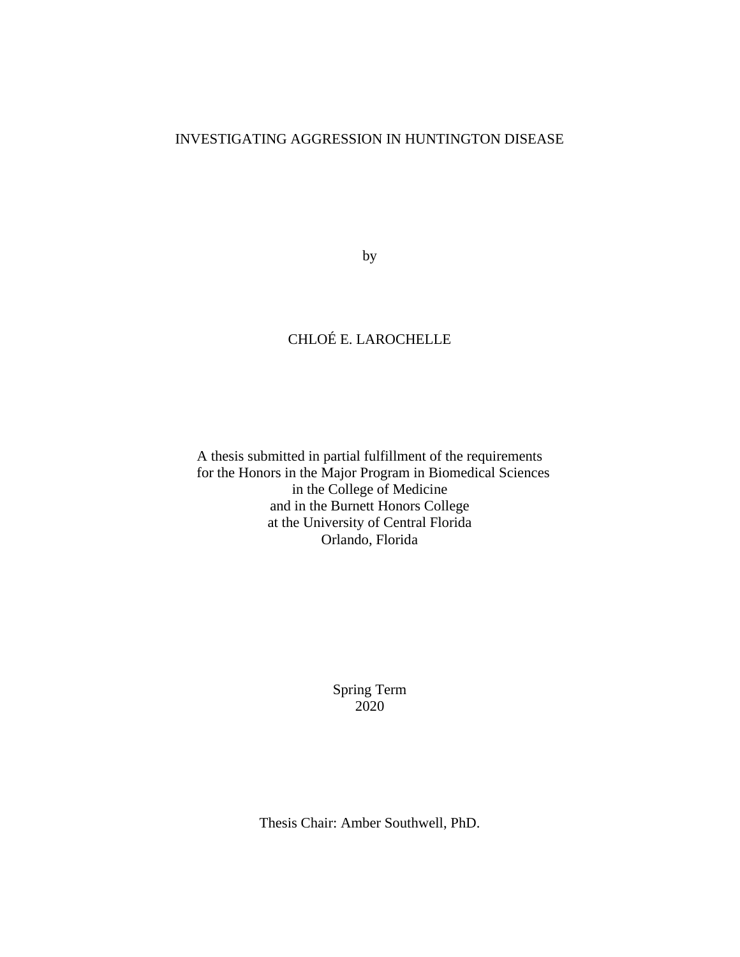#### INVESTIGATING AGGRESSION IN HUNTINGTON DISEASE

by

## CHLOÉ E. LAROCHELLE

A thesis submitted in partial fulfillment of the requirements for the Honors in the Major Program in Biomedical Sciences in the College of Medicine and in the Burnett Honors College at the University of Central Florida Orlando, Florida

> Spring Term 2020

Thesis Chair: Amber Southwell, PhD.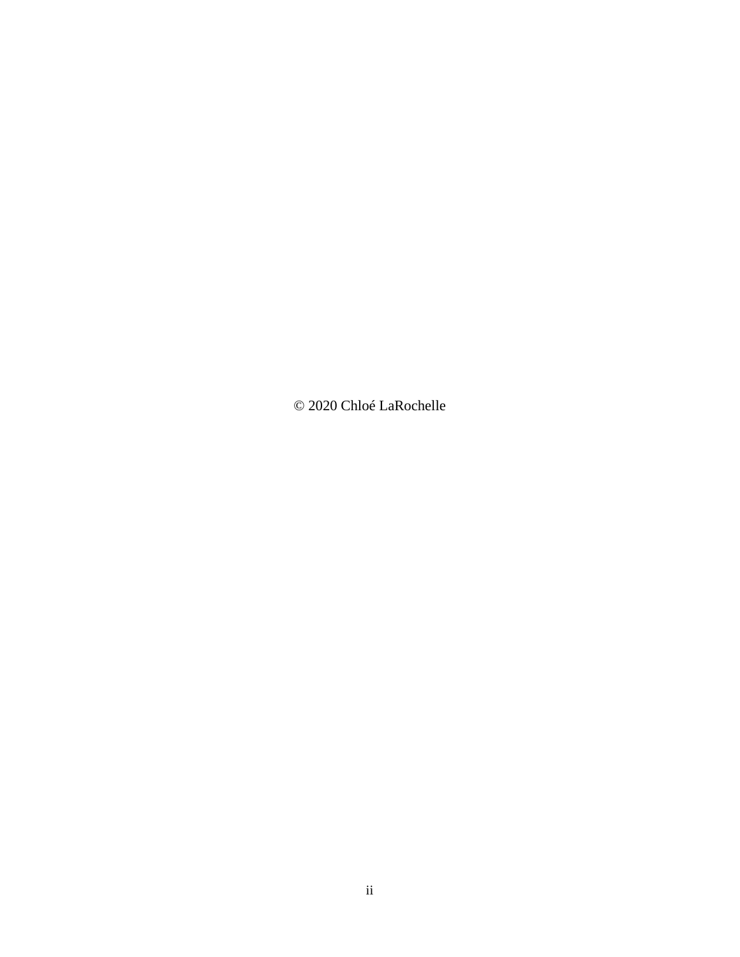© 2020 Chloé LaRochelle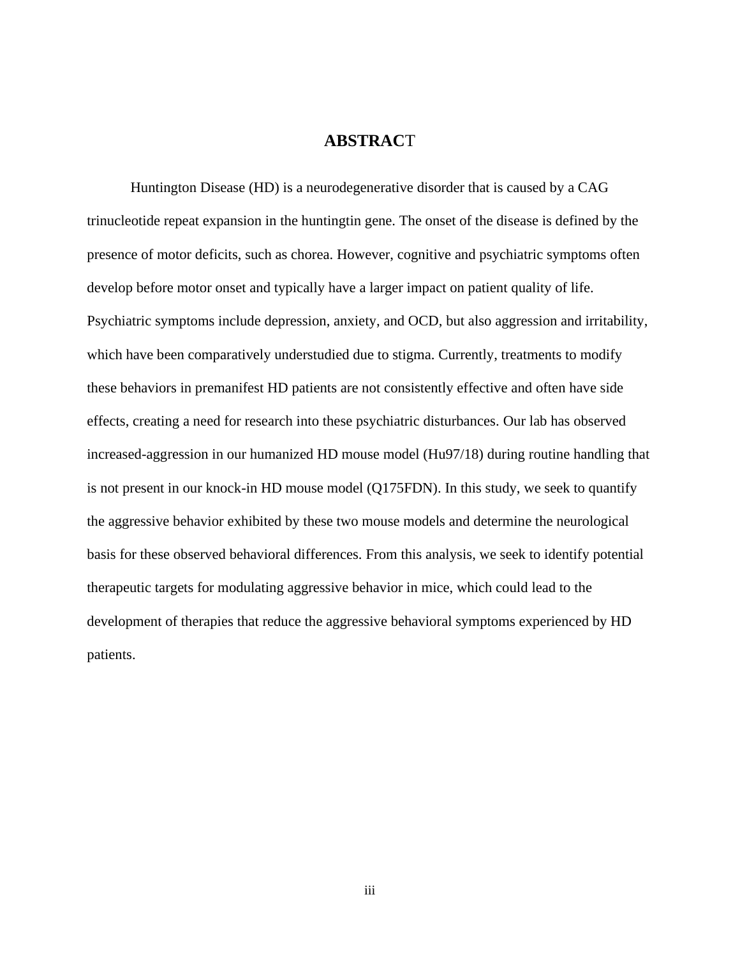#### **ABSTRAC**T

Huntington Disease (HD) is a neurodegenerative disorder that is caused by a CAG trinucleotide repeat expansion in the huntingtin gene. The onset of the disease is defined by the presence of motor deficits, such as chorea. However, cognitive and psychiatric symptoms often develop before motor onset and typically have a larger impact on patient quality of life. Psychiatric symptoms include depression, anxiety, and OCD, but also aggression and irritability, which have been comparatively understudied due to stigma. Currently, treatments to modify these behaviors in premanifest HD patients are not consistently effective and often have side effects, creating a need for research into these psychiatric disturbances. Our lab has observed increased-aggression in our humanized HD mouse model (Hu97/18) during routine handling that is not present in our knock-in HD mouse model (Q175FDN). In this study, we seek to quantify the aggressive behavior exhibited by these two mouse models and determine the neurological basis for these observed behavioral differences. From this analysis, we seek to identify potential therapeutic targets for modulating aggressive behavior in mice, which could lead to the development of therapies that reduce the aggressive behavioral symptoms experienced by HD patients.

iii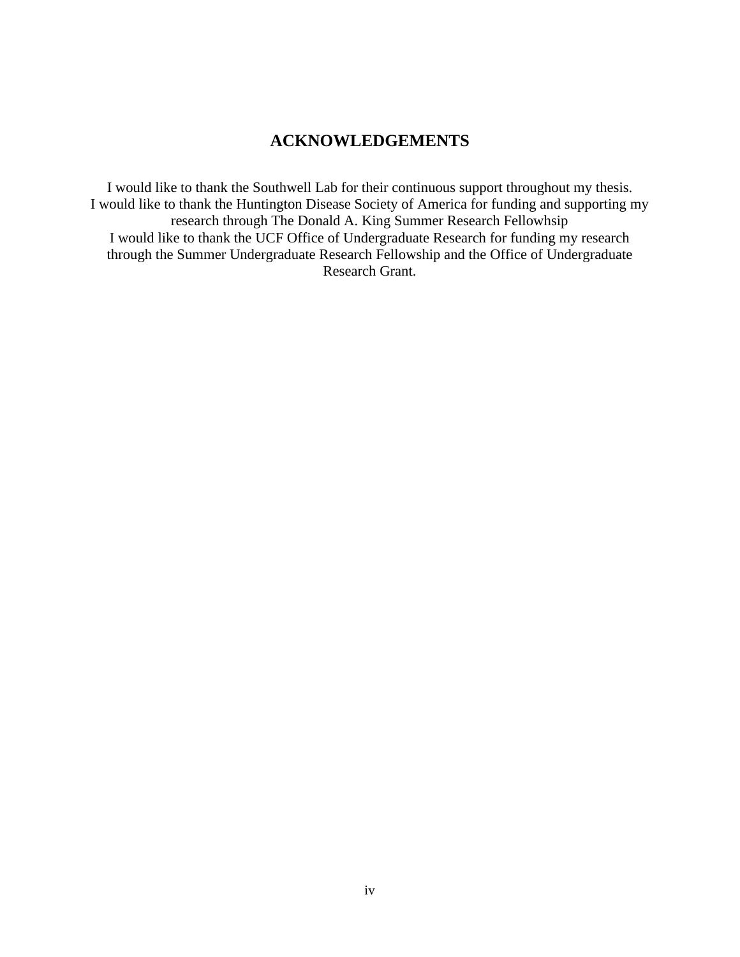## **ACKNOWLEDGEMENTS**

I would like to thank the Southwell Lab for their continuous support throughout my thesis. I would like to thank the Huntington Disease Society of America for funding and supporting my research through The Donald A. King Summer Research Fellowhsip I would like to thank the UCF Office of Undergraduate Research for funding my research through the Summer Undergraduate Research Fellowship and the Office of Undergraduate Research Grant.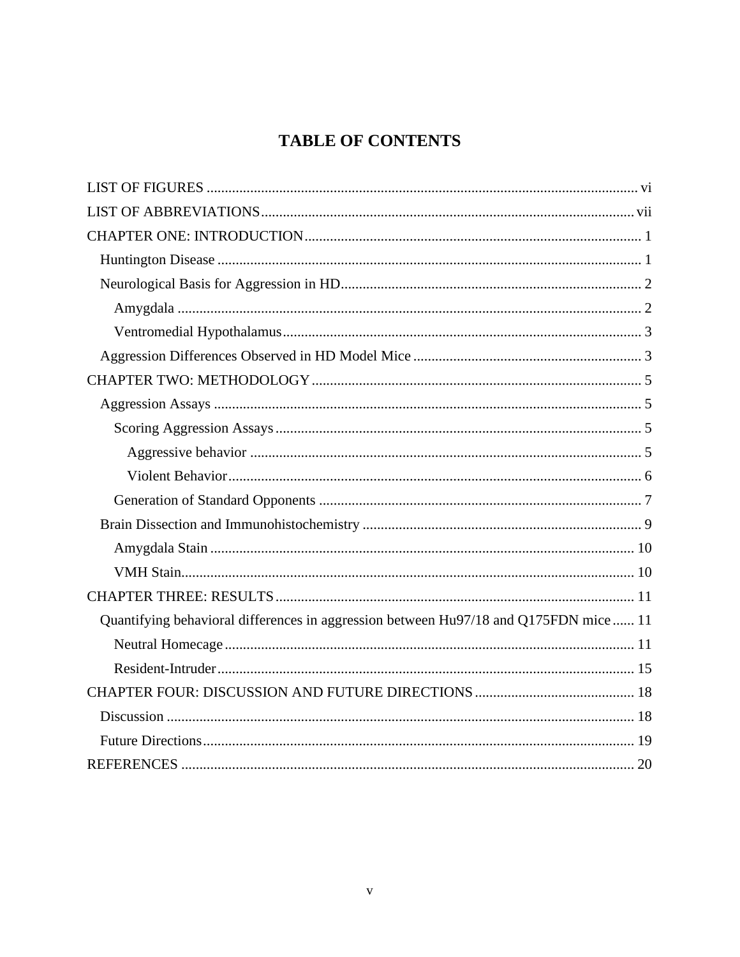# **TABLE OF CONTENTS**

| Quantifying behavioral differences in aggression between Hu97/18 and Q175FDN mice  11 |
|---------------------------------------------------------------------------------------|
|                                                                                       |
|                                                                                       |
|                                                                                       |
|                                                                                       |
|                                                                                       |
|                                                                                       |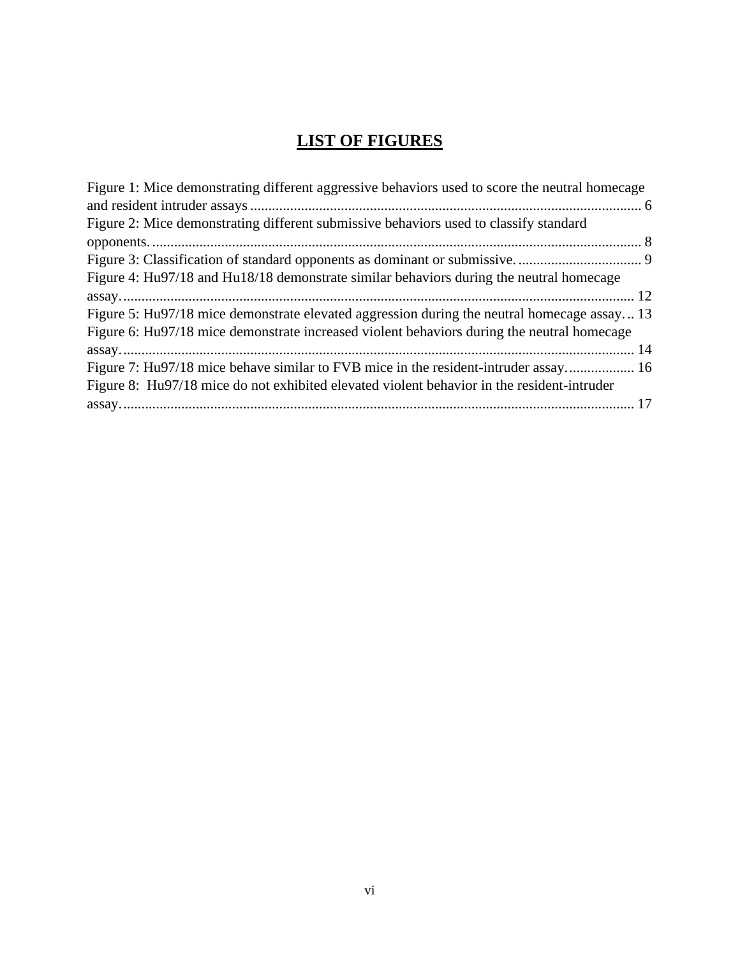# **LIST OF FIGURES**

<span id="page-6-0"></span>

| Figure 1: Mice demonstrating different aggressive behaviors used to score the neutral homecage |  |
|------------------------------------------------------------------------------------------------|--|
|                                                                                                |  |
| Figure 2: Mice demonstrating different submissive behaviors used to classify standard          |  |
|                                                                                                |  |
|                                                                                                |  |
| Figure 4: Hu97/18 and Hu18/18 demonstrate similar behaviors during the neutral homecage        |  |
|                                                                                                |  |
| Figure 5: Hu97/18 mice demonstrate elevated aggression during the neutral homecage assay 13    |  |
| Figure 6: Hu97/18 mice demonstrate increased violent behaviors during the neutral homecage     |  |
|                                                                                                |  |
| Figure 7: Hu97/18 mice behave similar to FVB mice in the resident-intruder assay 16            |  |
| Figure 8: Hu97/18 mice do not exhibited elevated violent behavior in the resident-intruder     |  |
|                                                                                                |  |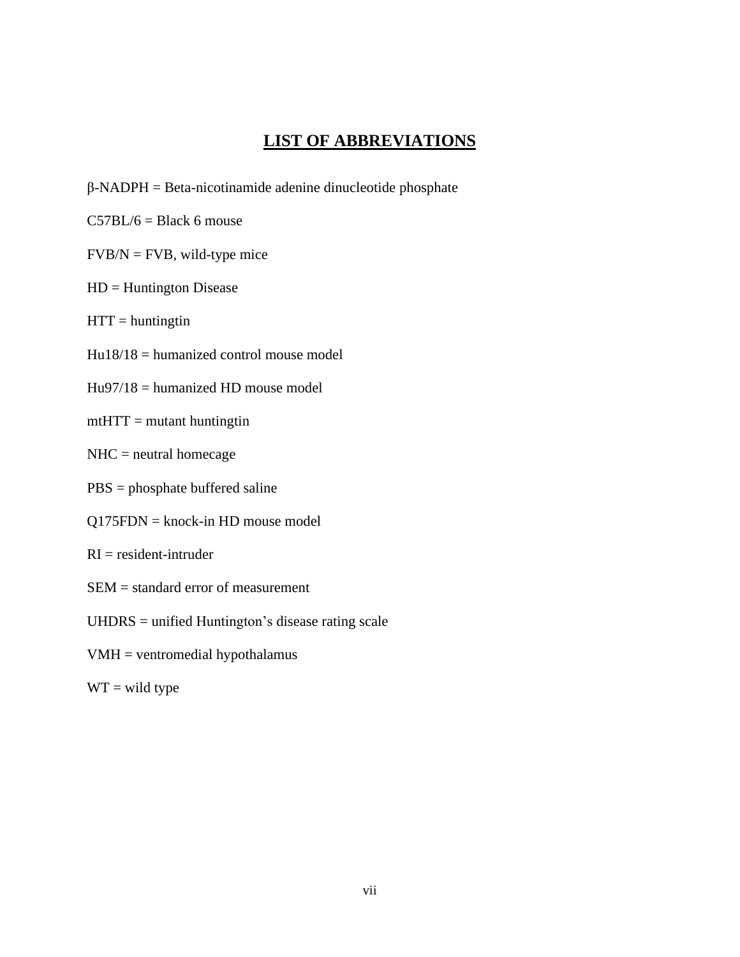## **LIST OF ABBREVIATIONS**

- <span id="page-7-0"></span>β-NADPH = Beta-nicotinamide adenine dinucleotide phosphate
- $C57BL/6 = Black 6$  mouse
- $FVB/N = FVB$ , wild-type mice
- HD = Huntington Disease
- $HTT =$  huntingtin
- $Hu18/18 =$  humanized control mouse model
- Hu97/18 = humanized HD mouse model
- $m$ the  $m$  = mutant huntingtin
- NHC = neutral homecage
- PBS = phosphate buffered saline
- Q175FDN = knock-in HD mouse model
- $RI = resident-intruder$
- SEM = standard error of measurement
- UHDRS = unified Huntington's disease rating scale
- VMH = ventromedial hypothalamus
- $WT = wild type$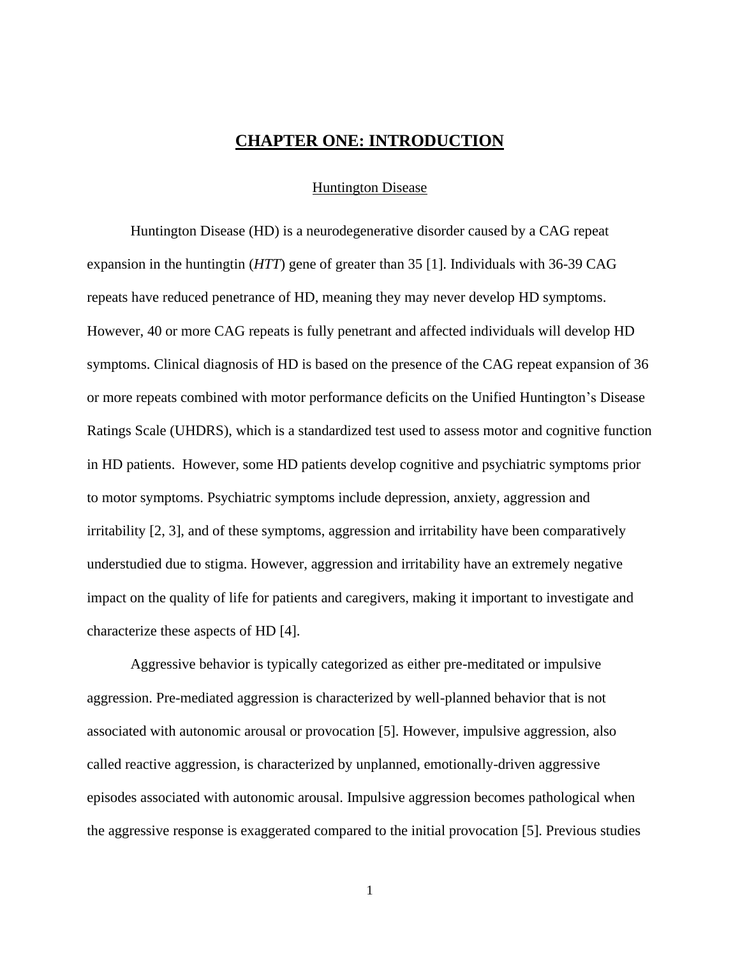### **CHAPTER ONE: INTRODUCTION**

Huntington Disease

<span id="page-8-1"></span><span id="page-8-0"></span>Huntington Disease (HD) is a neurodegenerative disorder caused by a CAG repeat expansion in the huntingtin (*HTT*) gene of greater than 35 [1]. Individuals with 36-39 CAG repeats have reduced penetrance of HD, meaning they may never develop HD symptoms. However, 40 or more CAG repeats is fully penetrant and affected individuals will develop HD symptoms. Clinical diagnosis of HD is based on the presence of the CAG repeat expansion of 36 or more repeats combined with motor performance deficits on the Unified Huntington's Disease Ratings Scale (UHDRS), which is a standardized test used to assess motor and cognitive function in HD patients. However, some HD patients develop cognitive and psychiatric symptoms prior to motor symptoms. Psychiatric symptoms include depression, anxiety, aggression and irritability [2, 3], and of these symptoms, aggression and irritability have been comparatively understudied due to stigma. However, aggression and irritability have an extremely negative impact on the quality of life for patients and caregivers, making it important to investigate and characterize these aspects of HD [4].

Aggressive behavior is typically categorized as either pre-meditated or impulsive aggression. Pre-mediated aggression is characterized by well-planned behavior that is not associated with autonomic arousal or provocation [5]. However, impulsive aggression, also called reactive aggression, is characterized by unplanned, emotionally-driven aggressive episodes associated with autonomic arousal. Impulsive aggression becomes pathological when the aggressive response is exaggerated compared to the initial provocation [5]. Previous studies

1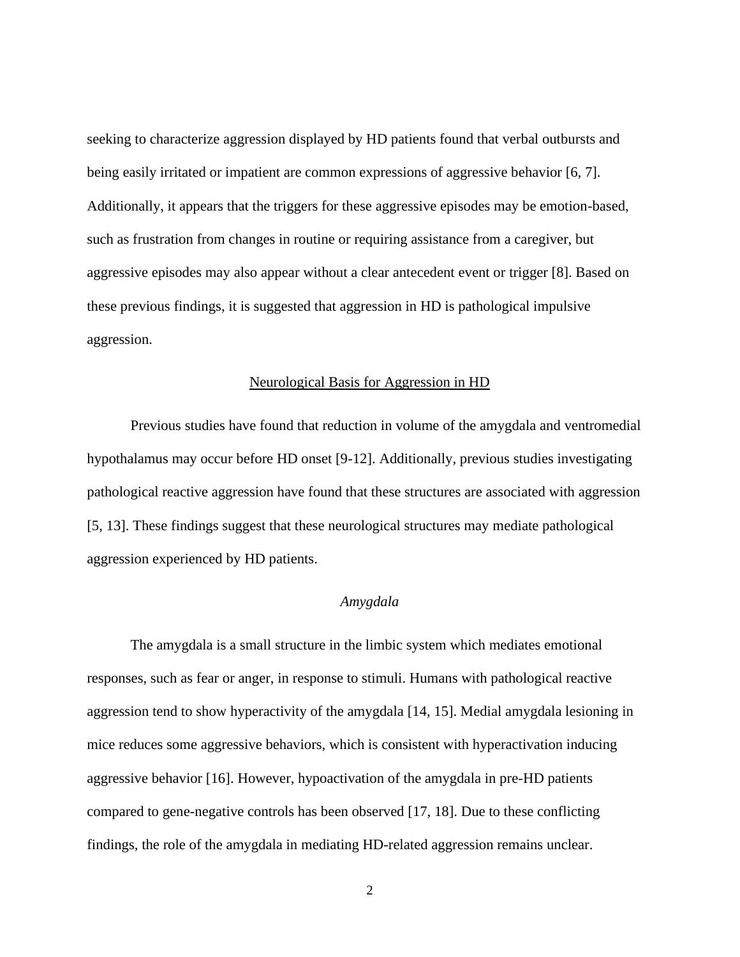seeking to characterize aggression displayed by HD patients found that verbal outbursts and being easily irritated or impatient are common expressions of aggressive behavior [6, 7]. Additionally, it appears that the triggers for these aggressive episodes may be emotion-based, such as frustration from changes in routine or requiring assistance from a caregiver, but aggressive episodes may also appear without a clear antecedent event or trigger [8]. Based on these previous findings, it is suggested that aggression in HD is pathological impulsive aggression.

#### Neurological Basis for Aggression in HD

<span id="page-9-0"></span>Previous studies have found that reduction in volume of the amygdala and ventromedial hypothalamus may occur before HD onset [9-12]. Additionally, previous studies investigating pathological reactive aggression have found that these structures are associated with aggression [5, 13]. These findings suggest that these neurological structures may mediate pathological aggression experienced by HD patients.

#### *Amygdala*

<span id="page-9-1"></span>The amygdala is a small structure in the limbic system which mediates emotional responses, such as fear or anger, in response to stimuli. Humans with pathological reactive aggression tend to show hyperactivity of the amygdala [14, 15]. Medial amygdala lesioning in mice reduces some aggressive behaviors, which is consistent with hyperactivation inducing aggressive behavior [16]. However, hypoactivation of the amygdala in pre-HD patients compared to gene-negative controls has been observed [17, 18]. Due to these conflicting findings, the role of the amygdala in mediating HD-related aggression remains unclear.

2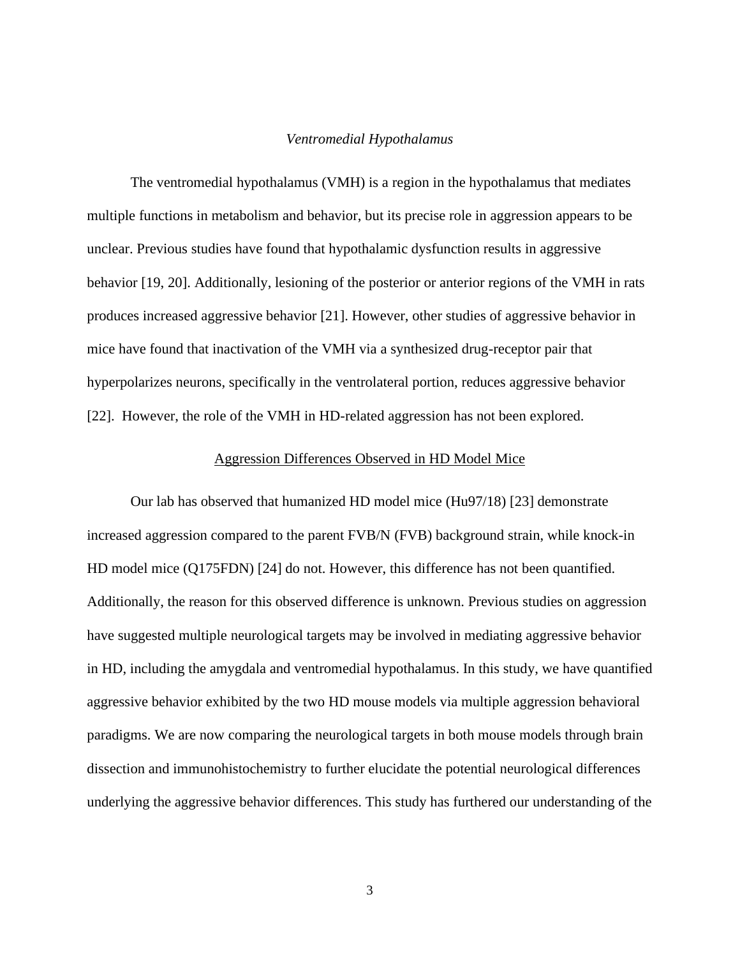#### *Ventromedial Hypothalamus*

<span id="page-10-0"></span>The ventromedial hypothalamus (VMH) is a region in the hypothalamus that mediates multiple functions in metabolism and behavior, but its precise role in aggression appears to be unclear. Previous studies have found that hypothalamic dysfunction results in aggressive behavior [19, 20]. Additionally, lesioning of the posterior or anterior regions of the VMH in rats produces increased aggressive behavior [21]. However, other studies of aggressive behavior in mice have found that inactivation of the VMH via a synthesized drug-receptor pair that hyperpolarizes neurons, specifically in the ventrolateral portion, reduces aggressive behavior [22]. However, the role of the VMH in HD-related aggression has not been explored.

#### Aggression Differences Observed in HD Model Mice

<span id="page-10-1"></span>Our lab has observed that humanized HD model mice (Hu97/18) [23] demonstrate increased aggression compared to the parent FVB/N (FVB) background strain, while knock-in HD model mice (Q175FDN) [24] do not. However, this difference has not been quantified. Additionally, the reason for this observed difference is unknown. Previous studies on aggression have suggested multiple neurological targets may be involved in mediating aggressive behavior in HD, including the amygdala and ventromedial hypothalamus. In this study, we have quantified aggressive behavior exhibited by the two HD mouse models via multiple aggression behavioral paradigms. We are now comparing the neurological targets in both mouse models through brain dissection and immunohistochemistry to further elucidate the potential neurological differences underlying the aggressive behavior differences. This study has furthered our understanding of the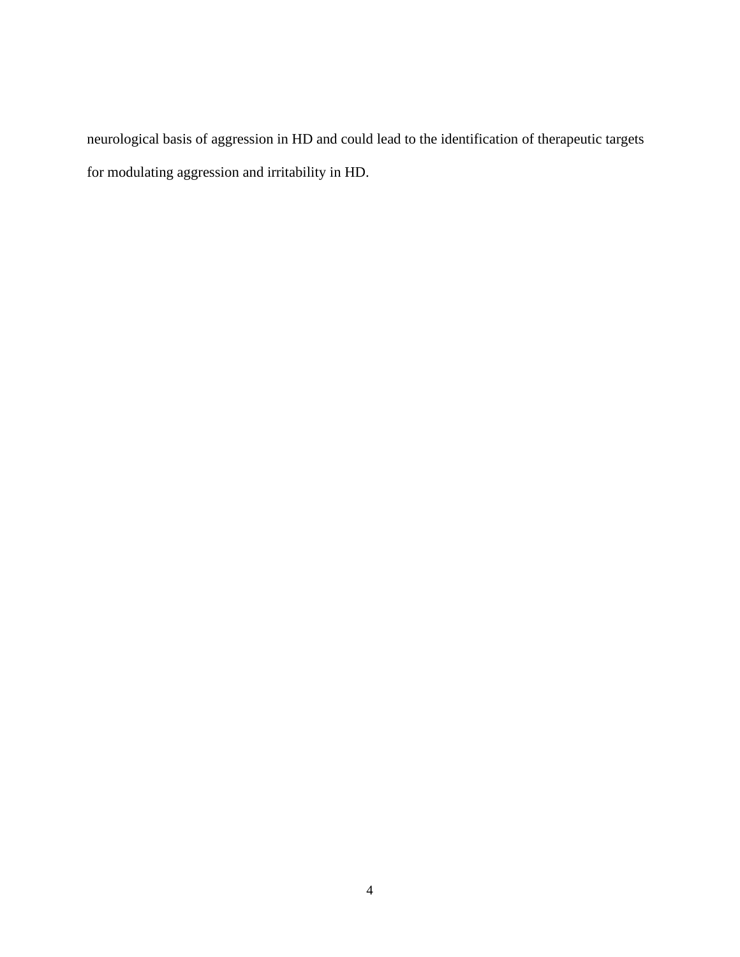neurological basis of aggression in HD and could lead to the identification of therapeutic targets for modulating aggression and irritability in HD.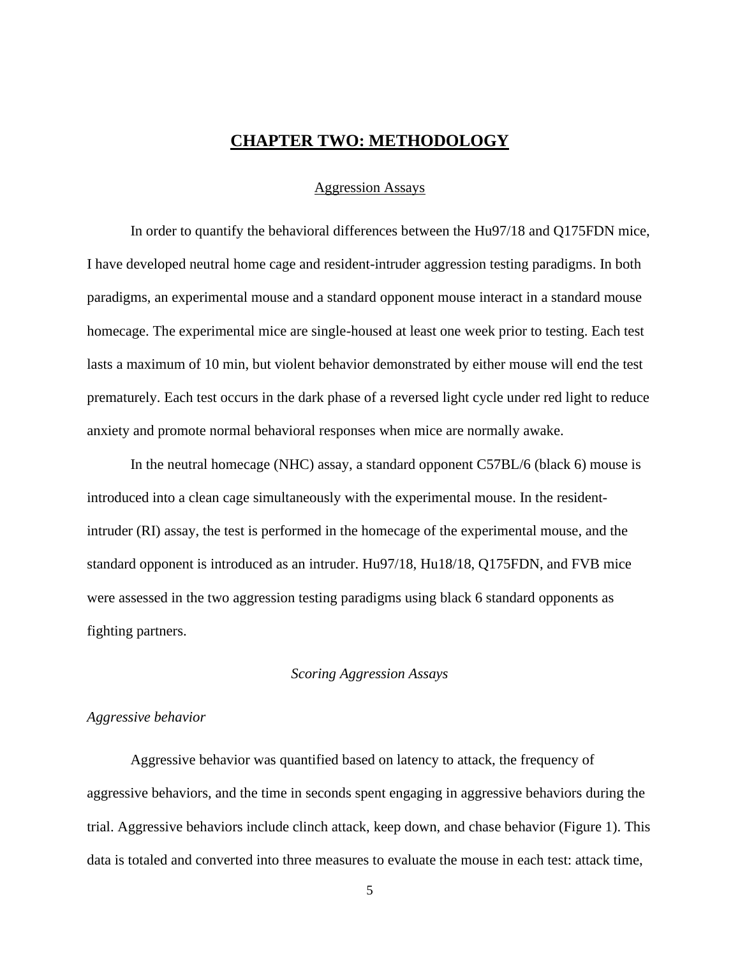## **CHAPTER TWO: METHODOLOGY**

#### Aggression Assays

<span id="page-12-1"></span><span id="page-12-0"></span>In order to quantify the behavioral differences between the Hu97/18 and Q175FDN mice, I have developed neutral home cage and resident-intruder aggression testing paradigms. In both paradigms, an experimental mouse and a standard opponent mouse interact in a standard mouse homecage. The experimental mice are single-housed at least one week prior to testing. Each test lasts a maximum of 10 min, but violent behavior demonstrated by either mouse will end the test prematurely. Each test occurs in the dark phase of a reversed light cycle under red light to reduce anxiety and promote normal behavioral responses when mice are normally awake.

In the neutral homecage (NHC) assay, a standard opponent C57BL/6 (black 6) mouse is introduced into a clean cage simultaneously with the experimental mouse. In the residentintruder (RI) assay, the test is performed in the homecage of the experimental mouse, and the standard opponent is introduced as an intruder. Hu97/18, Hu18/18, Q175FDN, and FVB mice were assessed in the two aggression testing paradigms using black 6 standard opponents as fighting partners.

#### *Scoring Aggression Assays*

#### <span id="page-12-3"></span><span id="page-12-2"></span>*Aggressive behavior*

Aggressive behavior was quantified based on latency to attack, the frequency of aggressive behaviors, and the time in seconds spent engaging in aggressive behaviors during the trial. Aggressive behaviors include clinch attack, keep down, and chase behavior (Figure 1). This data is totaled and converted into three measures to evaluate the mouse in each test: attack time,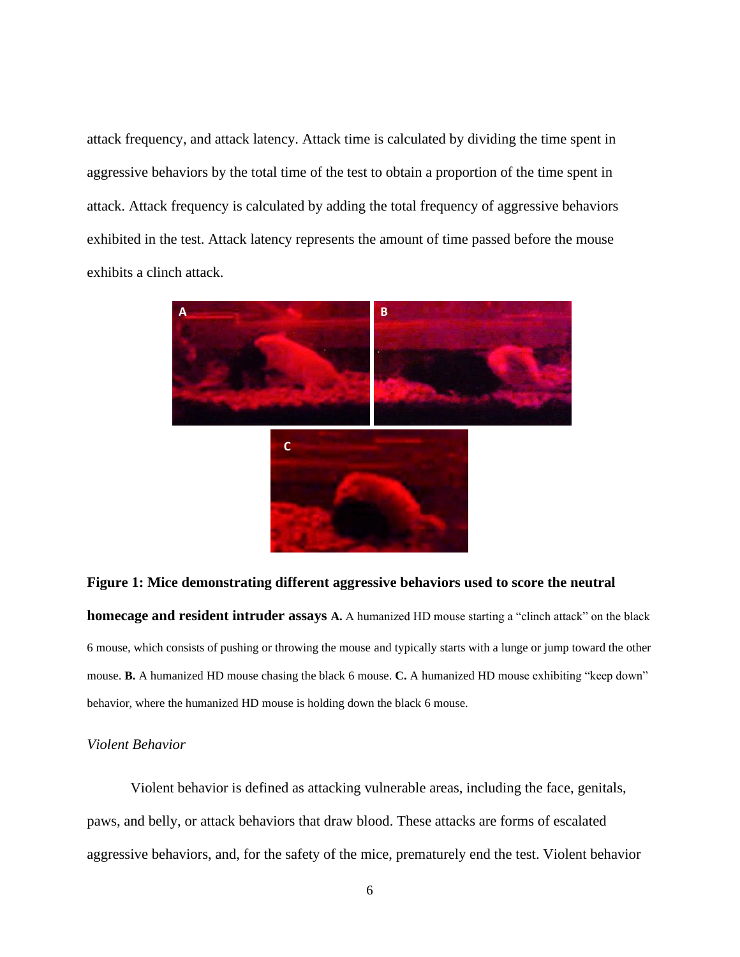attack frequency, and attack latency. Attack time is calculated by dividing the time spent in aggressive behaviors by the total time of the test to obtain a proportion of the time spent in attack. Attack frequency is calculated by adding the total frequency of aggressive behaviors exhibited in the test. Attack latency represents the amount of time passed before the mouse exhibits a clinch attack.



#### **Figure 1: Mice demonstrating different aggressive behaviors used to score the neutral**

**homecage and resident intruder assays A.** A humanized HD mouse starting a "clinch attack" on the black 6 mouse, which consists of pushing or throwing the mouse and typically starts with a lunge or jump toward the other mouse. **B.** A humanized HD mouse chasing the black 6 mouse. **C.** A humanized HD mouse exhibiting "keep down" behavior, where the humanized HD mouse is holding down the black 6 mouse.

#### <span id="page-13-0"></span>*Violent Behavior*

Violent behavior is defined as attacking vulnerable areas, including the face, genitals, paws, and belly, or attack behaviors that draw blood. These attacks are forms of escalated aggressive behaviors, and, for the safety of the mice, prematurely end the test. Violent behavior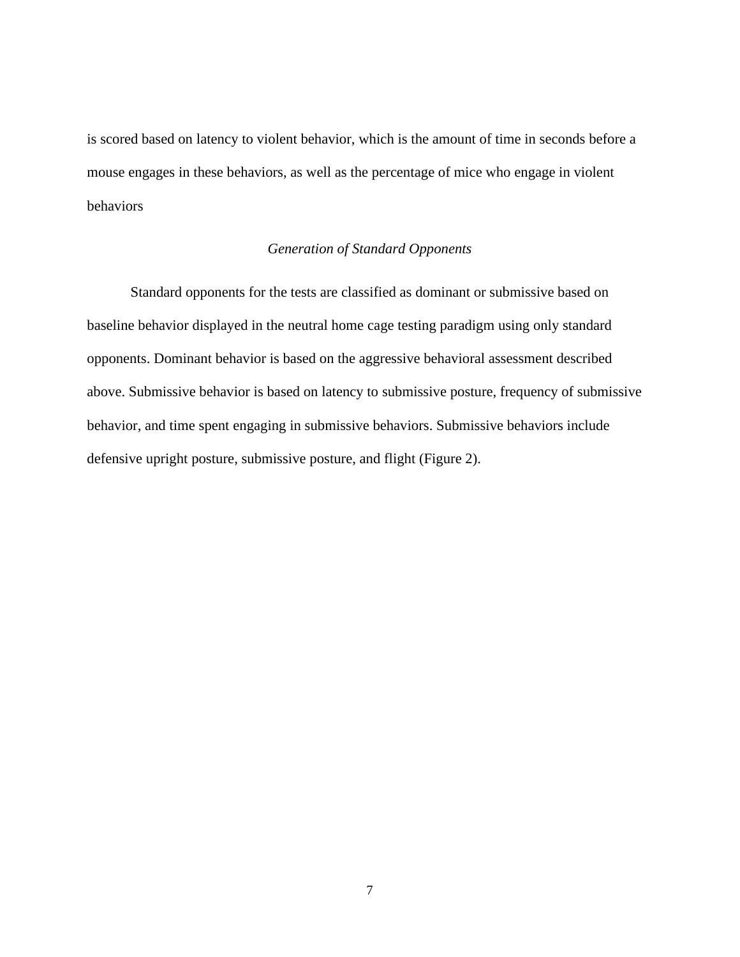is scored based on latency to violent behavior, which is the amount of time in seconds before a mouse engages in these behaviors, as well as the percentage of mice who engage in violent behaviors

#### *Generation of Standard Opponents*

<span id="page-14-0"></span>Standard opponents for the tests are classified as dominant or submissive based on baseline behavior displayed in the neutral home cage testing paradigm using only standard opponents. Dominant behavior is based on the aggressive behavioral assessment described above. Submissive behavior is based on latency to submissive posture, frequency of submissive behavior, and time spent engaging in submissive behaviors. Submissive behaviors include defensive upright posture, submissive posture, and flight (Figure 2).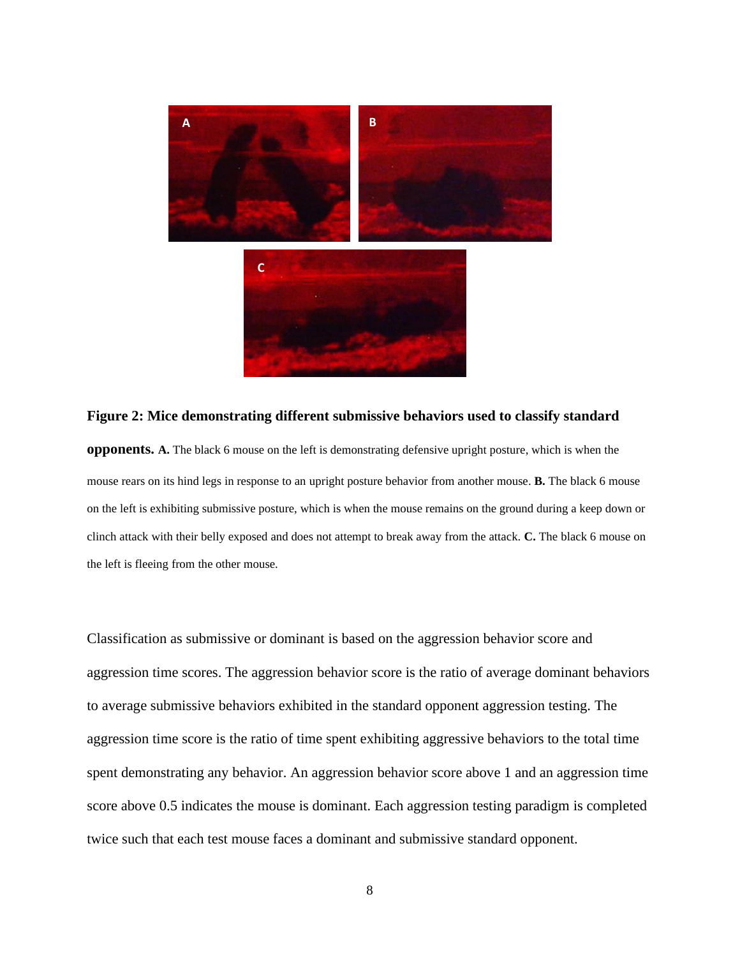

**Figure 2: Mice demonstrating different submissive behaviors used to classify standard opponents. A.** The black 6 mouse on the left is demonstrating defensive upright posture, which is when the mouse rears on its hind legs in response to an upright posture behavior from another mouse. **B.** The black 6 mouse on the left is exhibiting submissive posture, which is when the mouse remains on the ground during a keep down or clinch attack with their belly exposed and does not attempt to break away from the attack. **C.** The black 6 mouse on the left is fleeing from the other mouse.

Classification as submissive or dominant is based on the aggression behavior score and aggression time scores. The aggression behavior score is the ratio of average dominant behaviors to average submissive behaviors exhibited in the standard opponent aggression testing. The aggression time score is the ratio of time spent exhibiting aggressive behaviors to the total time spent demonstrating any behavior. An aggression behavior score above 1 and an aggression time score above 0.5 indicates the mouse is dominant. Each aggression testing paradigm is completed twice such that each test mouse faces a dominant and submissive standard opponent.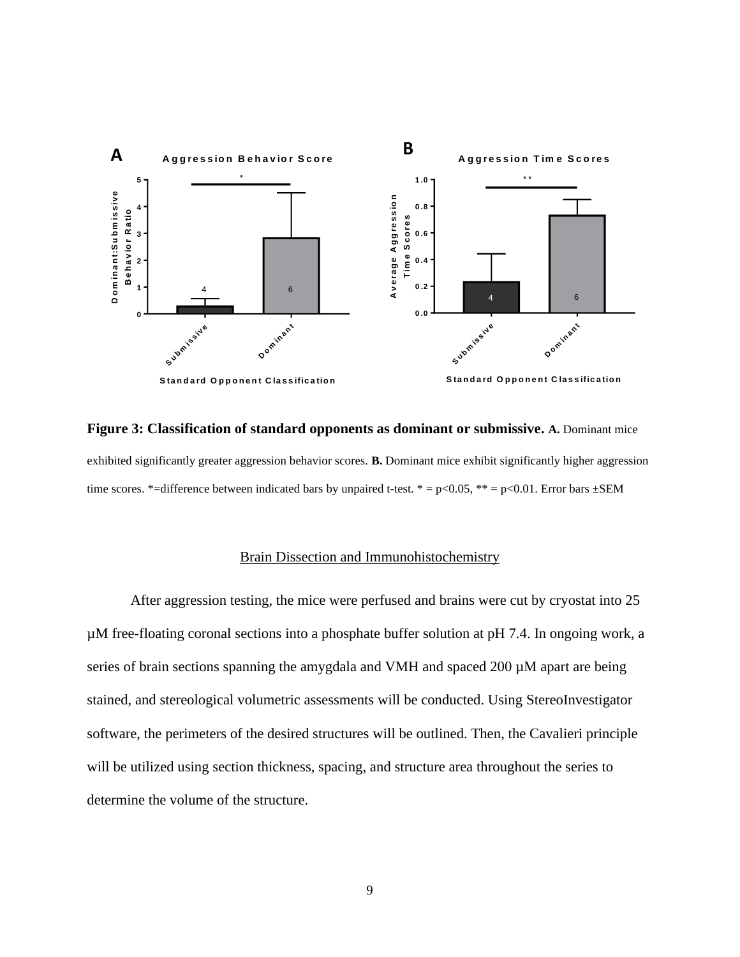

**Figure 3: Classification of standard opponents as dominant or submissive. A.** Dominant mice exhibited significantly greater aggression behavior scores. **B.** Dominant mice exhibit significantly higher aggression time scores. \*=difference between indicated bars by unpaired t-test. \* =  $p<0.05$ , \*\* =  $p<0.01$ . Error bars  $\pm$ SEM

#### Brain Dissection and Immunohistochemistry

<span id="page-16-0"></span>After aggression testing, the mice were perfused and brains were cut by cryostat into 25 µM free-floating coronal sections into a phosphate buffer solution at pH 7.4. In ongoing work, a series of brain sections spanning the amygdala and VMH and spaced 200  $\mu$ M apart are being stained, and stereological volumetric assessments will be conducted. Using StereoInvestigator software, the perimeters of the desired structures will be outlined. Then, the Cavalieri principle will be utilized using section thickness, spacing, and structure area throughout the series to determine the volume of the structure.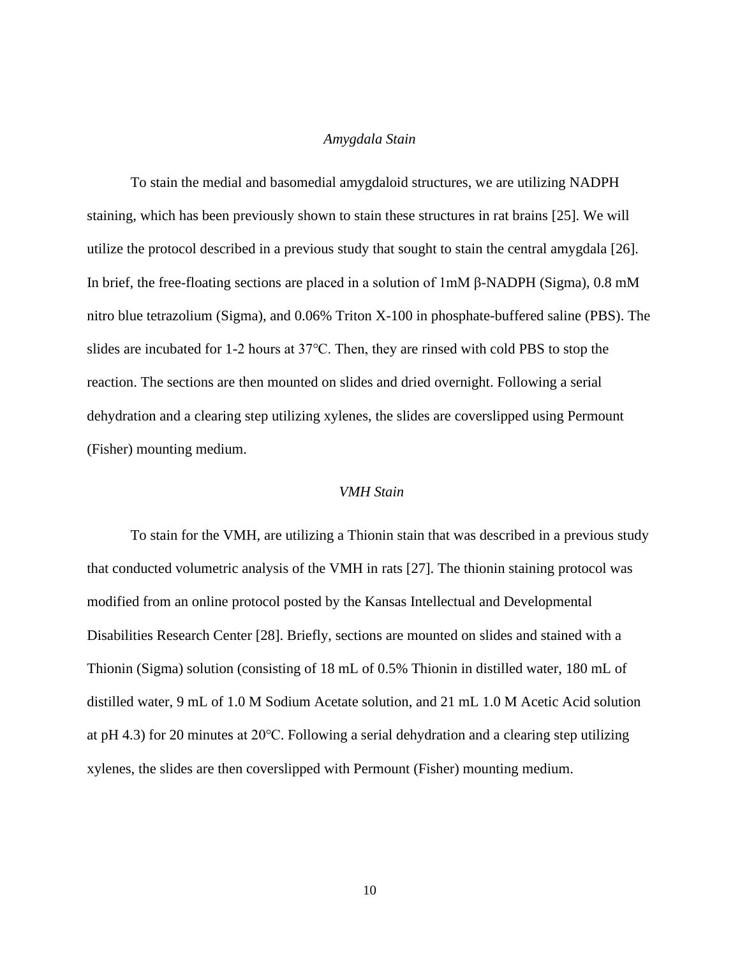#### *Amygdala Stain*

<span id="page-17-0"></span>To stain the medial and basomedial amygdaloid structures, we are utilizing NADPH staining, which has been previously shown to stain these structures in rat brains [25]. We will utilize the protocol described in a previous study that sought to stain the central amygdala [26]. In brief, the free-floating sections are placed in a solution of 1mM β-NADPH (Sigma), 0.8 mM nitro blue tetrazolium (Sigma), and 0.06% Triton X-100 in phosphate-buffered saline (PBS). The slides are incubated for 1-2 hours at 37℃. Then, they are rinsed with cold PBS to stop the reaction. The sections are then mounted on slides and dried overnight. Following a serial dehydration and a clearing step utilizing xylenes, the slides are coverslipped using Permount (Fisher) mounting medium.

#### <span id="page-17-1"></span>*VMH Stain*

To stain for the VMH, are utilizing a Thionin stain that was described in a previous study that conducted volumetric analysis of the VMH in rats [27]. The thionin staining protocol was modified from an online protocol posted by the Kansas Intellectual and Developmental Disabilities Research Center [28]. Briefly, sections are mounted on slides and stained with a Thionin (Sigma) solution (consisting of 18 mL of 0.5% Thionin in distilled water, 180 mL of distilled water, 9 mL of 1.0 M Sodium Acetate solution, and 21 mL 1.0 M Acetic Acid solution at pH 4.3) for 20 minutes at 20℃. Following a serial dehydration and a clearing step utilizing xylenes, the slides are then coverslipped with Permount (Fisher) mounting medium.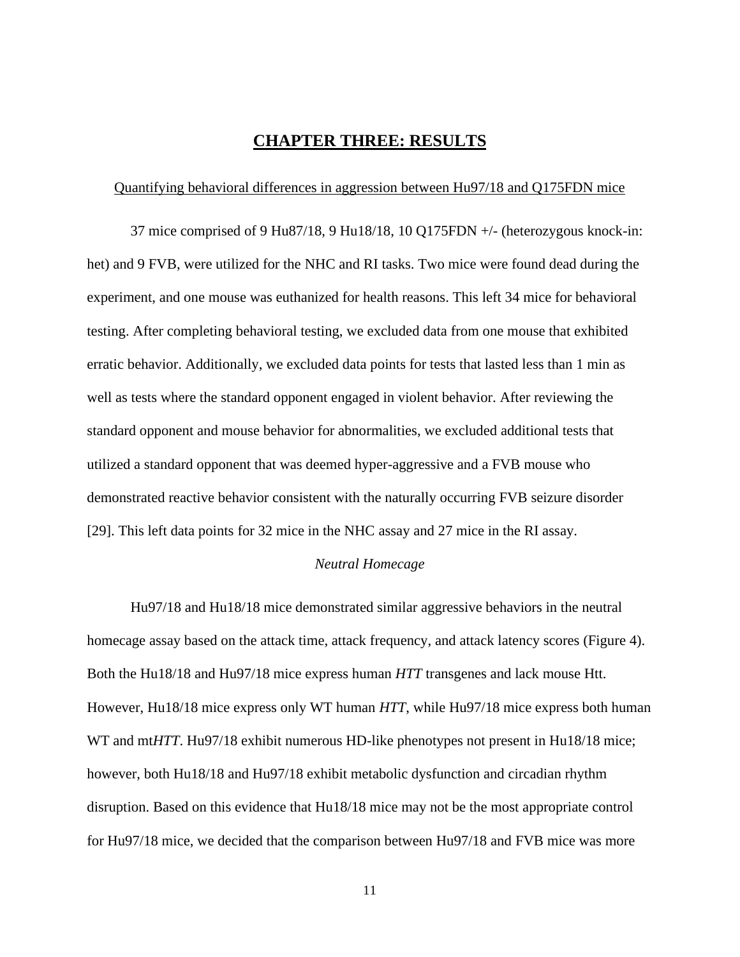## **CHAPTER THREE: RESULTS**

#### <span id="page-18-1"></span><span id="page-18-0"></span>Quantifying behavioral differences in aggression between Hu97/18 and Q175FDN mice

37 mice comprised of 9 Hu87/18, 9 Hu18/18, 10 Q175FDN +/- (heterozygous knock-in: het) and 9 FVB, were utilized for the NHC and RI tasks. Two mice were found dead during the experiment, and one mouse was euthanized for health reasons. This left 34 mice for behavioral testing. After completing behavioral testing, we excluded data from one mouse that exhibited erratic behavior. Additionally, we excluded data points for tests that lasted less than 1 min as well as tests where the standard opponent engaged in violent behavior. After reviewing the standard opponent and mouse behavior for abnormalities, we excluded additional tests that utilized a standard opponent that was deemed hyper-aggressive and a FVB mouse who demonstrated reactive behavior consistent with the naturally occurring FVB seizure disorder [29]. This left data points for 32 mice in the NHC assay and 27 mice in the RI assay.

#### *Neutral Homecage*

<span id="page-18-2"></span>Hu97/18 and Hu18/18 mice demonstrated similar aggressive behaviors in the neutral homecage assay based on the attack time, attack frequency, and attack latency scores (Figure 4). Both the Hu18/18 and Hu97/18 mice express human *HTT* transgenes and lack mouse Htt. However, Hu18/18 mice express only WT human *HTT*, while Hu97/18 mice express both human WT and mt*HTT*. Hu97/18 exhibit numerous HD-like phenotypes not present in Hu18/18 mice; however, both Hu18/18 and Hu97/18 exhibit metabolic dysfunction and circadian rhythm disruption. Based on this evidence that Hu18/18 mice may not be the most appropriate control for Hu97/18 mice, we decided that the comparison between Hu97/18 and FVB mice was more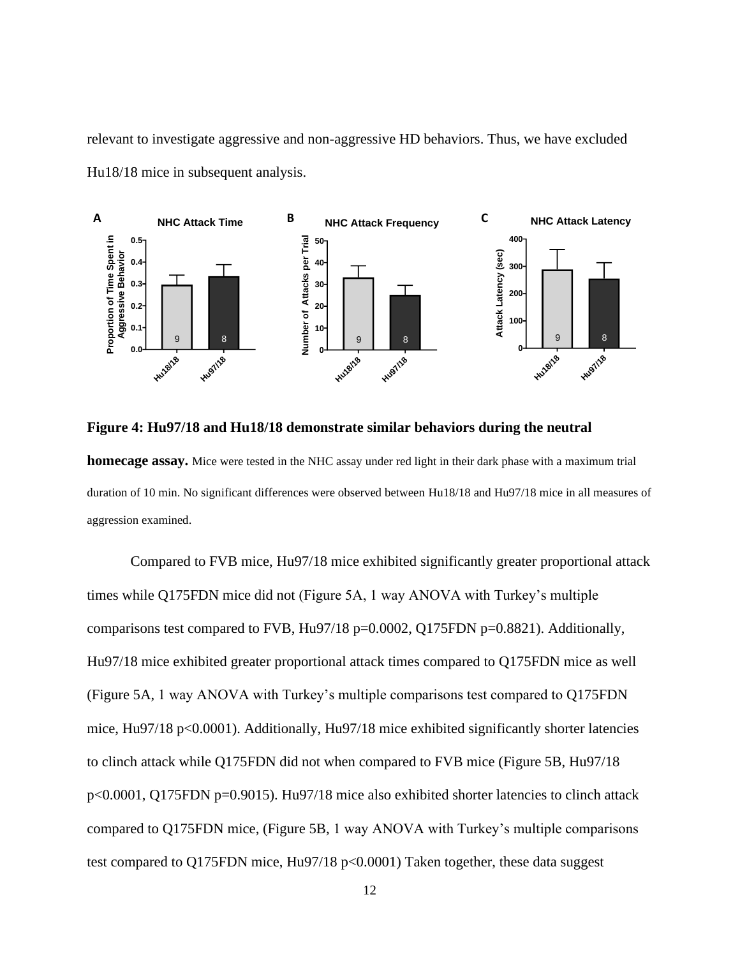relevant to investigate aggressive and non-aggressive HD behaviors. Thus, we have excluded Hu18/18 mice in subsequent analysis.



**Figure 4: Hu97/18 and Hu18/18 demonstrate similar behaviors during the neutral homecage assay.** Mice were tested in the NHC assay under red light in their dark phase with a maximum trial duration of 10 min. No significant differences were observed between Hu18/18 and Hu97/18 mice in all measures of aggression examined.

Compared to FVB mice, Hu97/18 mice exhibited significantly greater proportional attack times while Q175FDN mice did not (Figure 5A, 1 way ANOVA with Turkey's multiple comparisons test compared to FVB, Hu97/18 p=0.0002, Q175FDN p=0.8821). Additionally, Hu97/18 mice exhibited greater proportional attack times compared to Q175FDN mice as well (Figure 5A, 1 way ANOVA with Turkey's multiple comparisons test compared to Q175FDN mice, Hu97/18 p<0.0001). Additionally, Hu97/18 mice exhibited significantly shorter latencies to clinch attack while Q175FDN did not when compared to FVB mice (Figure 5B, Hu97/18 p<0.0001, Q175FDN p=0.9015). Hu97/18 mice also exhibited shorter latencies to clinch attack compared to Q175FDN mice, (Figure 5B, 1 way ANOVA with Turkey's multiple comparisons test compared to Q175FDN mice, Hu97/18 p<0.0001) Taken together, these data suggest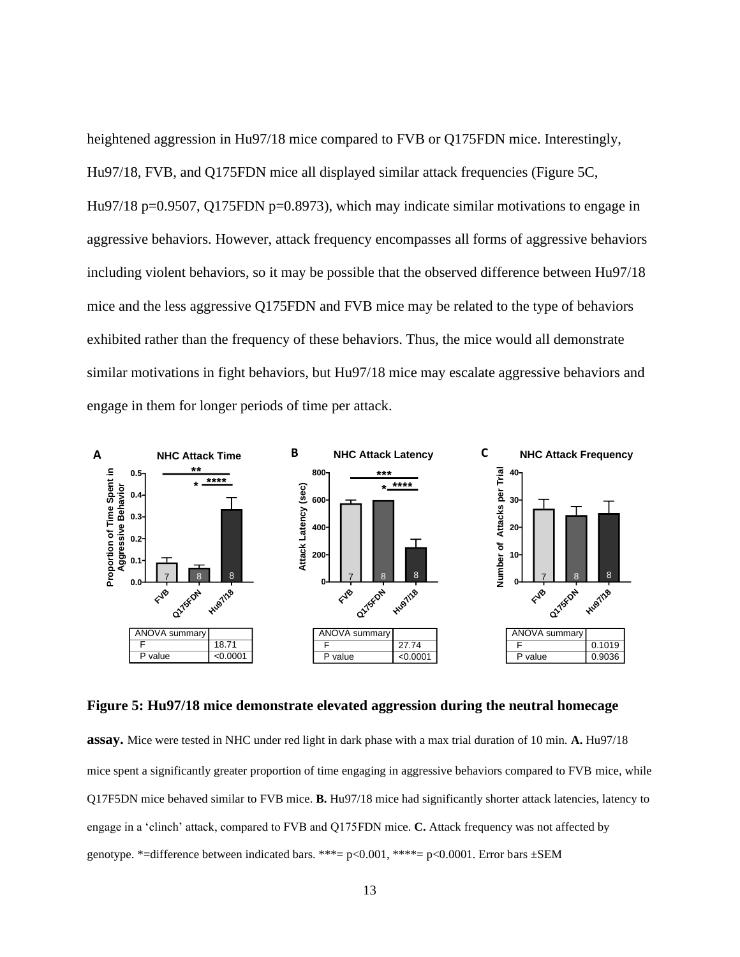heightened aggression in Hu97/18 mice compared to FVB or Q175FDN mice. Interestingly, Hu97/18, FVB, and Q175FDN mice all displayed similar attack frequencies (Figure 5C, Hu97/18 p=0.9507, Q175FDN p=0.8973), which may indicate similar motivations to engage in aggressive behaviors. However, attack frequency encompasses all forms of aggressive behaviors including violent behaviors, so it may be possible that the observed difference between Hu97/18 mice and the less aggressive Q175FDN and FVB mice may be related to the type of behaviors exhibited rather than the frequency of these behaviors. Thus, the mice would all demonstrate similar motivations in fight behaviors, but Hu97/18 mice may escalate aggressive behaviors and engage in them for longer periods of time per attack.



**Figure 5: Hu97/18 mice demonstrate elevated aggression during the neutral homecage** 

**assay.** Mice were tested in NHC under red light in dark phase with a max trial duration of 10 min. **A.** Hu97/18 mice spent a significantly greater proportion of time engaging in aggressive behaviors compared to FVB mice, while Q17F5DN mice behaved similar to FVB mice. **B.** Hu97/18 mice had significantly shorter attack latencies, latency to engage in a 'clinch' attack, compared to FVB and Q175FDN mice. **C.** Attack frequency was not affected by genotype. \*=difference between indicated bars. \*\*\*=  $p<0.001$ , \*\*\*\*=  $p<0.0001$ . Error bars  $\pm$ SEM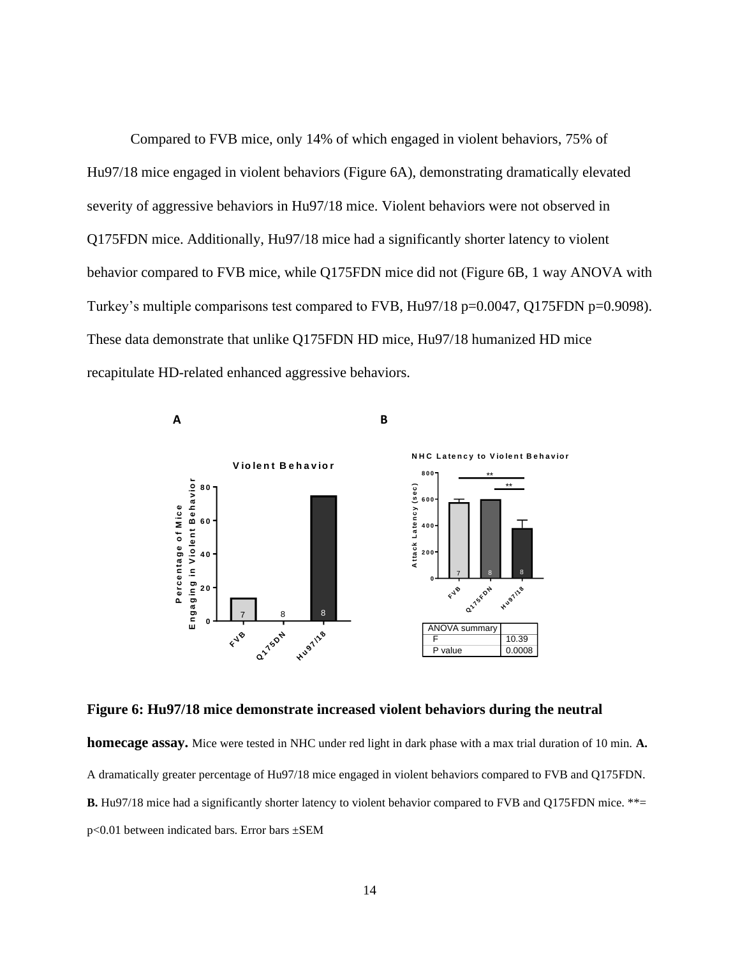Compared to FVB mice, only 14% of which engaged in violent behaviors, 75% of Hu97/18 mice engaged in violent behaviors (Figure 6A), demonstrating dramatically elevated severity of aggressive behaviors in Hu97/18 mice. Violent behaviors were not observed in Q175FDN mice. Additionally, Hu97/18 mice had a significantly shorter latency to violent behavior compared to FVB mice, while Q175FDN mice did not (Figure 6B, 1 way ANOVA with Turkey's multiple comparisons test compared to FVB, Hu97/18 p=0.0047, Q175FDN p=0.9098). These data demonstrate that unlike Q175FDN HD mice, Hu97/18 humanized HD mice recapitulate HD-related enhanced aggressive behaviors.



**Figure 6: Hu97/18 mice demonstrate increased violent behaviors during the neutral** 

**homecage assay.** Mice were tested in NHC under red light in dark phase with a max trial duration of 10 min. **A.**  A dramatically greater percentage of Hu97/18 mice engaged in violent behaviors compared to FVB and Q175FDN. **B.** Hu97/18 mice had a significantly shorter latency to violent behavior compared to FVB and Q175FDN mice. \*\*= p<0.01 between indicated bars. Error bars ±SEM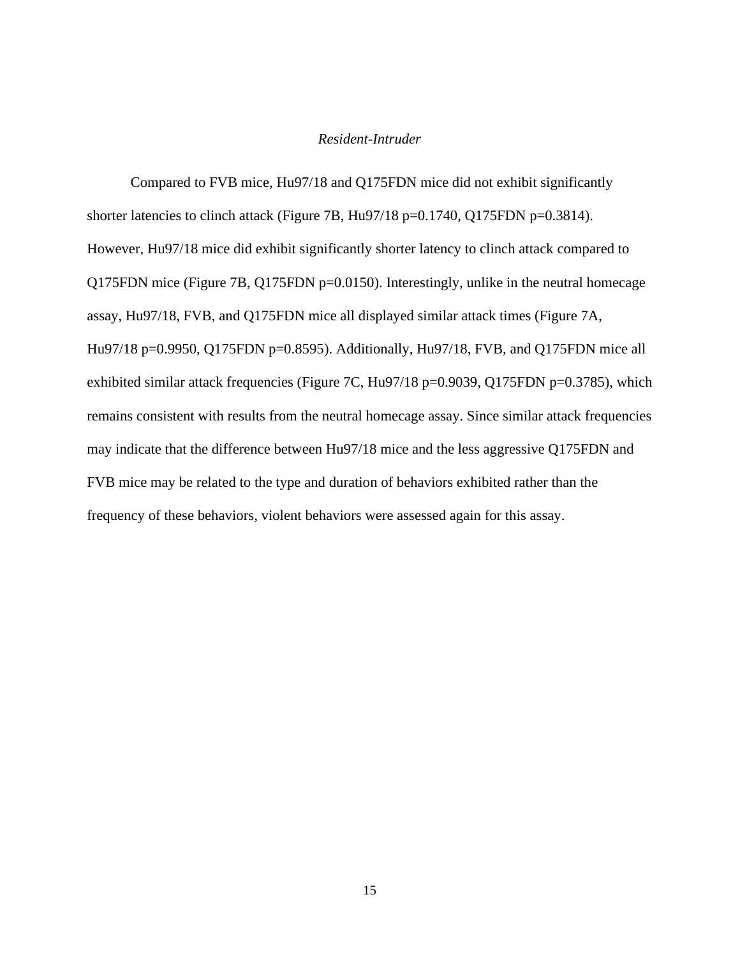#### *Resident-Intruder*

<span id="page-22-0"></span>Compared to FVB mice, Hu97/18 and Q175FDN mice did not exhibit significantly shorter latencies to clinch attack (Figure 7B, Hu97/18 p=0.1740, Q175FDN p=0.3814). However, Hu97/18 mice did exhibit significantly shorter latency to clinch attack compared to Q175FDN mice (Figure 7B, Q175FDN p=0.0150). Interestingly, unlike in the neutral homecage assay, Hu97/18, FVB, and Q175FDN mice all displayed similar attack times (Figure 7A, Hu97/18 p=0.9950, Q175FDN p=0.8595). Additionally, Hu97/18, FVB, and Q175FDN mice all exhibited similar attack frequencies (Figure 7C, Hu97/18 p=0.9039, Q175FDN p=0.3785), which remains consistent with results from the neutral homecage assay. Since similar attack frequencies may indicate that the difference between Hu97/18 mice and the less aggressive Q175FDN and FVB mice may be related to the type and duration of behaviors exhibited rather than the frequency of these behaviors, violent behaviors were assessed again for this assay.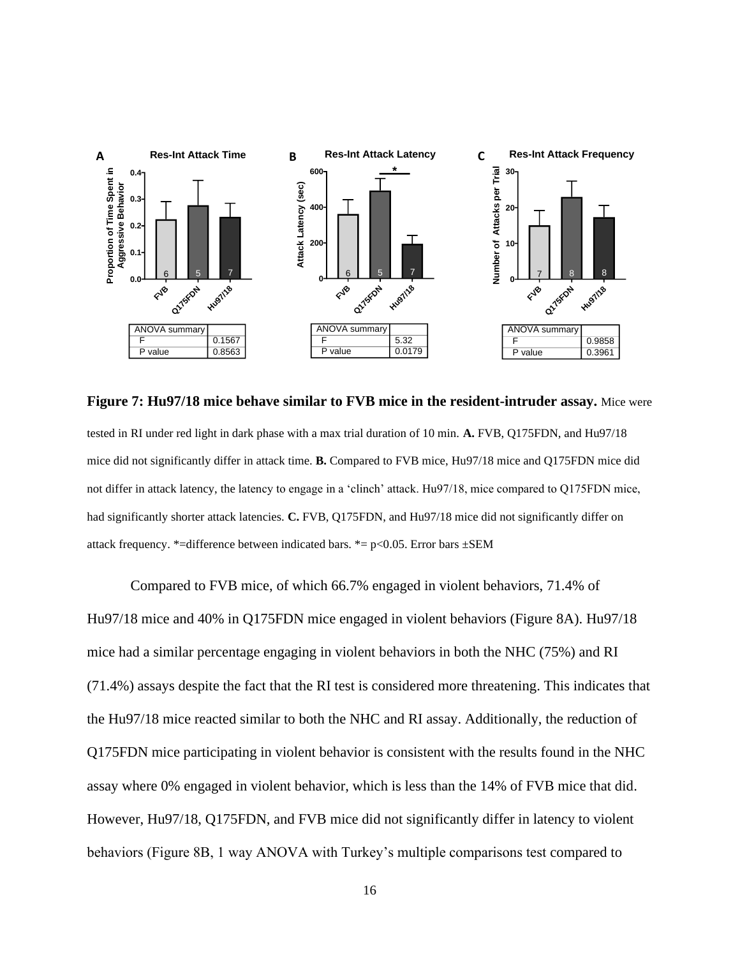

**Figure 7: Hu97/18 mice behave similar to FVB mice in the resident-intruder assay.** Mice were tested in RI under red light in dark phase with a max trial duration of 10 min. **A.** FVB, Q175FDN, and Hu97/18 mice did not significantly differ in attack time. **B.** Compared to FVB mice, Hu97/18 mice and Q175FDN mice did not differ in attack latency, the latency to engage in a 'clinch' attack. Hu97/18, mice compared to Q175FDN mice, had significantly shorter attack latencies. **C.** FVB, Q175FDN, and Hu97/18 mice did not significantly differ on attack frequency. \*=difference between indicated bars. \*=  $p$ <0.05. Error bars  $\pm$ SEM

Compared to FVB mice, of which 66.7% engaged in violent behaviors, 71.4% of Hu97/18 mice and 40% in Q175FDN mice engaged in violent behaviors (Figure 8A). Hu97/18 mice had a similar percentage engaging in violent behaviors in both the NHC (75%) and RI (71.4%) assays despite the fact that the RI test is considered more threatening. This indicates that the Hu97/18 mice reacted similar to both the NHC and RI assay. Additionally, the reduction of Q175FDN mice participating in violent behavior is consistent with the results found in the NHC assay where 0% engaged in violent behavior, which is less than the 14% of FVB mice that did. However, Hu97/18, Q175FDN, and FVB mice did not significantly differ in latency to violent behaviors (Figure 8B, 1 way ANOVA with Turkey's multiple comparisons test compared to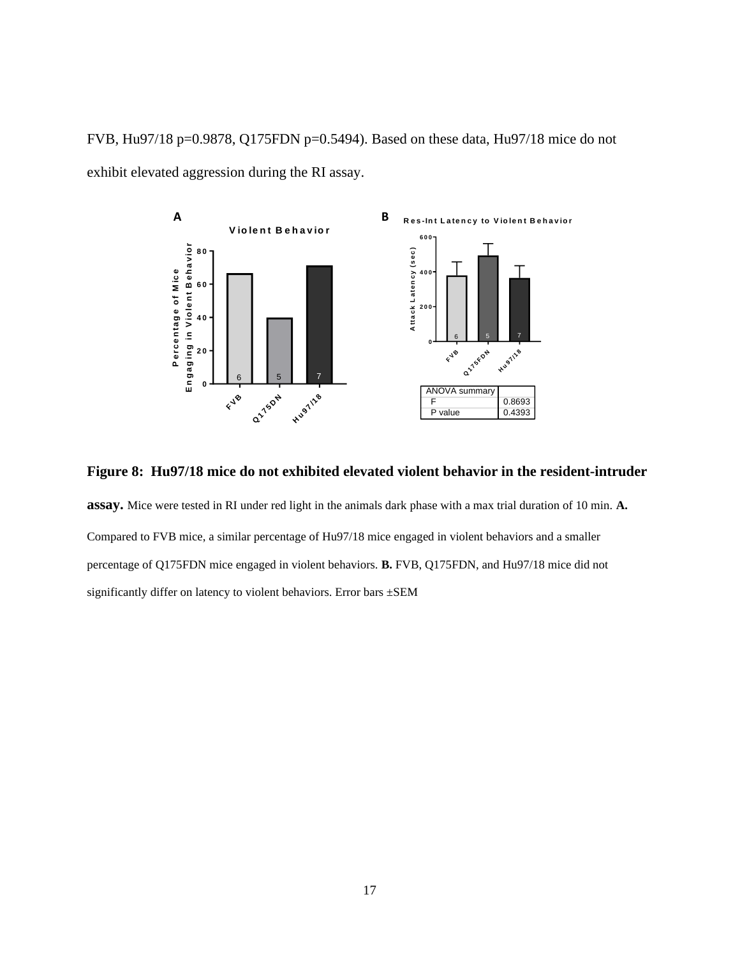FVB, Hu97/18 p=0.9878, Q175FDN p=0.5494). Based on these data, Hu97/18 mice do not exhibit elevated aggression during the RI assay.



**Figure 8: Hu97/18 mice do not exhibited elevated violent behavior in the resident-intruder** 

**assay.** Mice were tested in RI under red light in the animals dark phase with a max trial duration of 10 min. **A.**  Compared to FVB mice, a similar percentage of Hu97/18 mice engaged in violent behaviors and a smaller percentage of Q175FDN mice engaged in violent behaviors. **B.** FVB, Q175FDN, and Hu97/18 mice did not significantly differ on latency to violent behaviors. Error bars ±SEM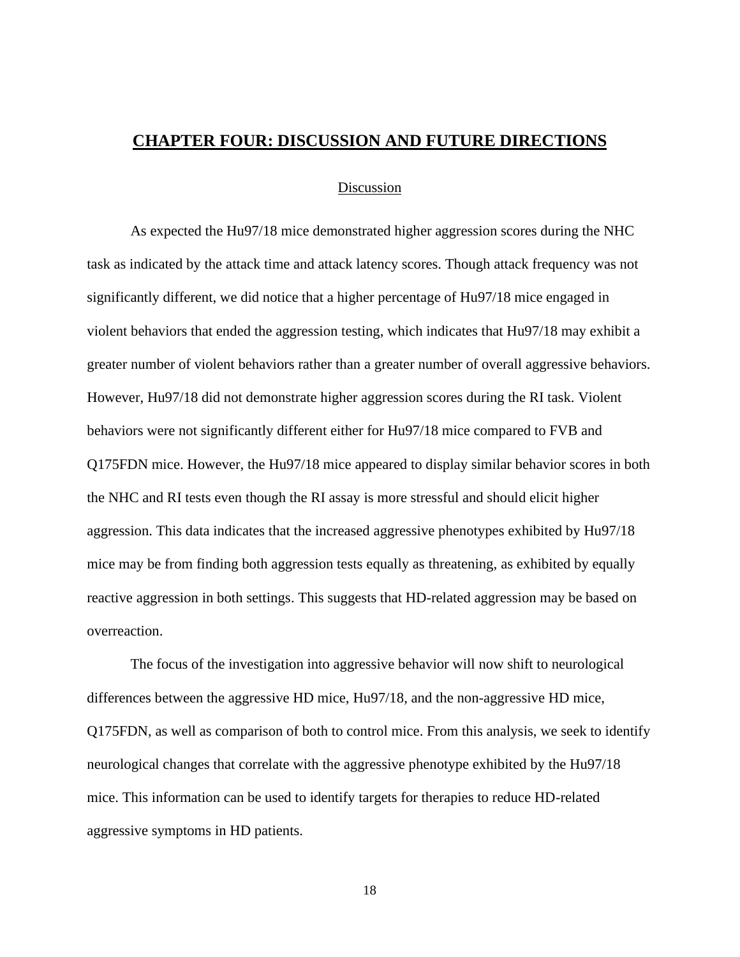## <span id="page-25-0"></span>**CHAPTER FOUR: DISCUSSION AND FUTURE DIRECTIONS**

#### Discussion

<span id="page-25-1"></span>As expected the Hu97/18 mice demonstrated higher aggression scores during the NHC task as indicated by the attack time and attack latency scores. Though attack frequency was not significantly different, we did notice that a higher percentage of Hu97/18 mice engaged in violent behaviors that ended the aggression testing, which indicates that Hu97/18 may exhibit a greater number of violent behaviors rather than a greater number of overall aggressive behaviors. However, Hu97/18 did not demonstrate higher aggression scores during the RI task. Violent behaviors were not significantly different either for Hu97/18 mice compared to FVB and Q175FDN mice. However, the Hu97/18 mice appeared to display similar behavior scores in both the NHC and RI tests even though the RI assay is more stressful and should elicit higher aggression. This data indicates that the increased aggressive phenotypes exhibited by Hu97/18 mice may be from finding both aggression tests equally as threatening, as exhibited by equally reactive aggression in both settings. This suggests that HD-related aggression may be based on overreaction.

The focus of the investigation into aggressive behavior will now shift to neurological differences between the aggressive HD mice, Hu97/18, and the non-aggressive HD mice, Q175FDN, as well as comparison of both to control mice. From this analysis, we seek to identify neurological changes that correlate with the aggressive phenotype exhibited by the Hu97/18 mice. This information can be used to identify targets for therapies to reduce HD-related aggressive symptoms in HD patients.

18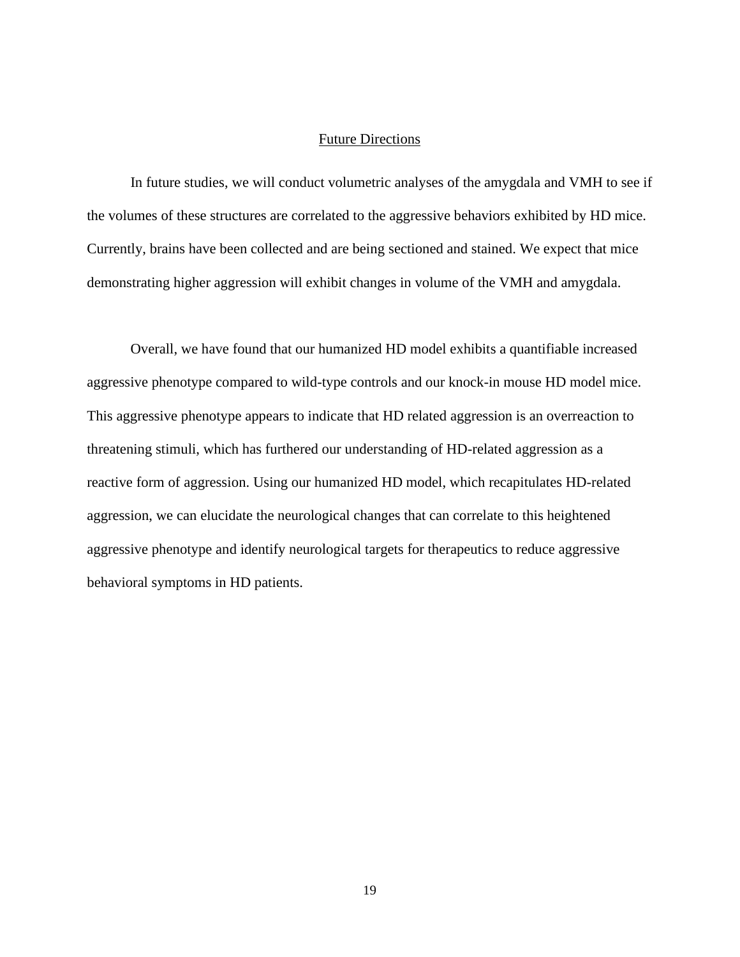#### Future Directions

<span id="page-26-0"></span>In future studies, we will conduct volumetric analyses of the amygdala and VMH to see if the volumes of these structures are correlated to the aggressive behaviors exhibited by HD mice. Currently, brains have been collected and are being sectioned and stained. We expect that mice demonstrating higher aggression will exhibit changes in volume of the VMH and amygdala.

Overall, we have found that our humanized HD model exhibits a quantifiable increased aggressive phenotype compared to wild-type controls and our knock-in mouse HD model mice. This aggressive phenotype appears to indicate that HD related aggression is an overreaction to threatening stimuli, which has furthered our understanding of HD-related aggression as a reactive form of aggression. Using our humanized HD model, which recapitulates HD-related aggression, we can elucidate the neurological changes that can correlate to this heightened aggressive phenotype and identify neurological targets for therapeutics to reduce aggressive behavioral symptoms in HD patients.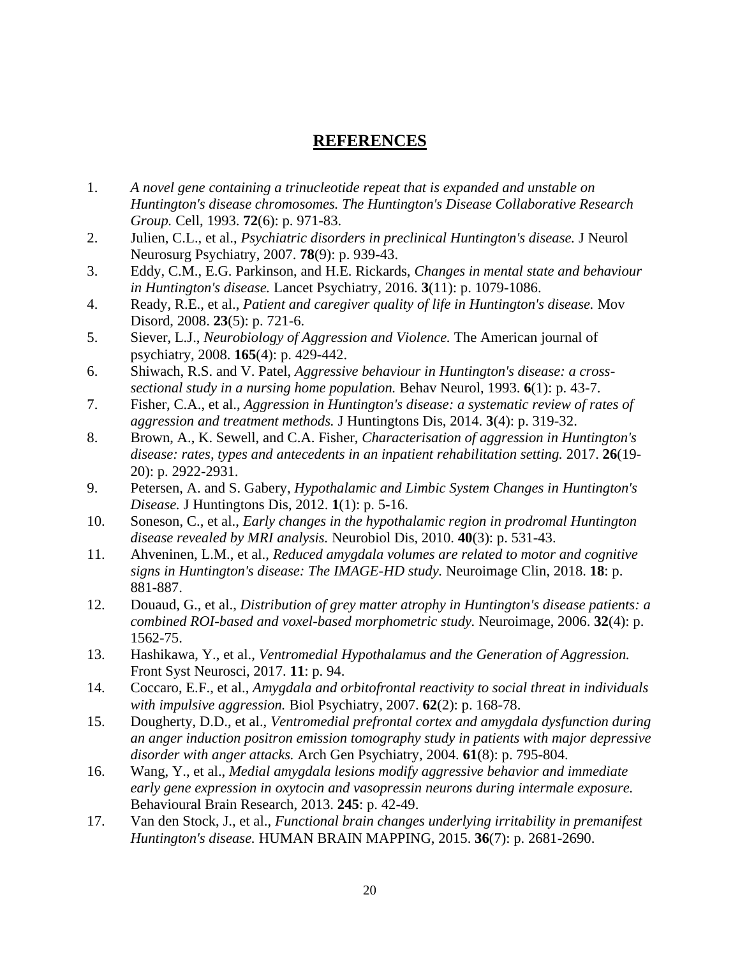## **REFERENCES**

- <span id="page-27-0"></span>1. *A novel gene containing a trinucleotide repeat that is expanded and unstable on Huntington's disease chromosomes. The Huntington's Disease Collaborative Research Group.* Cell, 1993. **72**(6): p. 971-83.
- 2. Julien, C.L., et al., *Psychiatric disorders in preclinical Huntington's disease.* J Neurol Neurosurg Psychiatry, 2007. **78**(9): p. 939-43.
- 3. Eddy, C.M., E.G. Parkinson, and H.E. Rickards, *Changes in mental state and behaviour in Huntington's disease.* Lancet Psychiatry, 2016. **3**(11): p. 1079-1086.
- 4. Ready, R.E., et al., *Patient and caregiver quality of life in Huntington's disease.* Mov Disord, 2008. **23**(5): p. 721-6.
- 5. Siever, L.J., *Neurobiology of Aggression and Violence.* The American journal of psychiatry, 2008. **165**(4): p. 429-442.
- 6. Shiwach, R.S. and V. Patel, *Aggressive behaviour in Huntington's disease: a crosssectional study in a nursing home population.* Behav Neurol, 1993. **6**(1): p. 43-7.
- 7. Fisher, C.A., et al., *Aggression in Huntington's disease: a systematic review of rates of aggression and treatment methods.* J Huntingtons Dis, 2014. **3**(4): p. 319-32.
- 8. Brown, A., K. Sewell, and C.A. Fisher, *Characterisation of aggression in Huntington's disease: rates, types and antecedents in an inpatient rehabilitation setting.* 2017. **26**(19- 20): p. 2922-2931.
- 9. Petersen, A. and S. Gabery, *Hypothalamic and Limbic System Changes in Huntington's Disease.* J Huntingtons Dis, 2012. **1**(1): p. 5-16.
- 10. Soneson, C., et al., *Early changes in the hypothalamic region in prodromal Huntington disease revealed by MRI analysis.* Neurobiol Dis, 2010. **40**(3): p. 531-43.
- 11. Ahveninen, L.M., et al., *Reduced amygdala volumes are related to motor and cognitive signs in Huntington's disease: The IMAGE-HD study.* Neuroimage Clin, 2018. **18**: p. 881-887.
- 12. Douaud, G., et al., *Distribution of grey matter atrophy in Huntington's disease patients: a combined ROI-based and voxel-based morphometric study.* Neuroimage, 2006. **32**(4): p. 1562-75.
- 13. Hashikawa, Y., et al., *Ventromedial Hypothalamus and the Generation of Aggression.* Front Syst Neurosci, 2017. **11**: p. 94.
- 14. Coccaro, E.F., et al., *Amygdala and orbitofrontal reactivity to social threat in individuals with impulsive aggression.* Biol Psychiatry, 2007. **62**(2): p. 168-78.
- 15. Dougherty, D.D., et al., *Ventromedial prefrontal cortex and amygdala dysfunction during an anger induction positron emission tomography study in patients with major depressive disorder with anger attacks.* Arch Gen Psychiatry, 2004. **61**(8): p. 795-804.
- 16. Wang, Y., et al., *Medial amygdala lesions modify aggressive behavior and immediate early gene expression in oxytocin and vasopressin neurons during intermale exposure.* Behavioural Brain Research, 2013. **245**: p. 42-49.
- 17. Van den Stock, J., et al., *Functional brain changes underlying irritability in premanifest Huntington's disease.* HUMAN BRAIN MAPPING, 2015. **36**(7): p. 2681-2690.